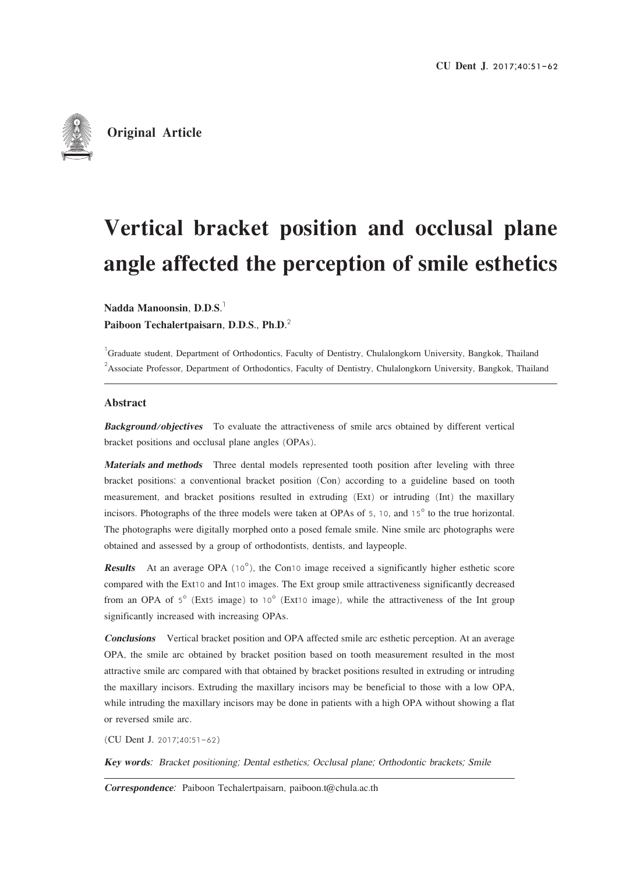

**Original Article**

# Vertical bracket position and occlusal plane angle affected the perception of smile esthetics

Nadda Manoonsin,  $D.D.S.<sup>1</sup>$ 

Paiboon Techalertpaisarn, D.D.S., Ph.D.2

<sup>1</sup>Graduate student, Department of Orthodontics, Faculty of Dentistry, Chulalongkorn University, Bangkok, Thailand <sup>2</sup> Associate Professor, Department of Orthodontics, Faculty of Dentistry, Chulalongkorn University, Bangkok, Thailand

#### Abstract

Background/objectives To evaluate the attractiveness of smile arcs obtained by different vertical bracket positions and occlusal plane angles (OPAs).

Materials and methods Three dental models represented tooth position after leveling with three bracket positions: a conventional bracket position (Con) according to a guideline based on tooth measurement, and bracket positions resulted in extruding (Ext) or intruding (Int) the maxillary incisors. Photographs of the three models were taken at OPAs of 5, 10, and 15° to the true horizontal. The photographs were digitally morphed onto a posed female smile. Nine smile arc photographs were obtained and assessed by a group of orthodontists, dentists, and laypeople.

**Results** At an average OPA  $(10^{\circ})$ , the Con10 image received a significantly higher esthetic score compared with the Ext10 and Int10 images. The Ext group smile attractiveness significantly decreased from an OPA of  $5^\circ$  (Ext5 image) to 10 $^\circ$  (Ext10 image), while the attractiveness of the Int group significantly increased with increasing OPAs.

**Conclusions** Vertical bracket position and OPA affected smile arc esthetic perception. At an average OPA, the smile arc obtained by bracket position based on tooth measurement resulted in the most attractive smile arc compared with that obtained by bracket positions resulted in extruding or intruding the maxillary incisors. Extruding the maxillary incisors may be beneficial to those with a low OPA, while intruding the maxillary incisors may be done in patients with a high OPA without showing a flat or reversed smile arc.

(CU Dent J. 2017;40:51-62)

Key words: Bracket positioning; Dental esthetics; Occlusal plane; Orthodontic brackets; Smile

Correspondence: Paiboon Techalertpaisarn, paiboon.t@chula.ac.th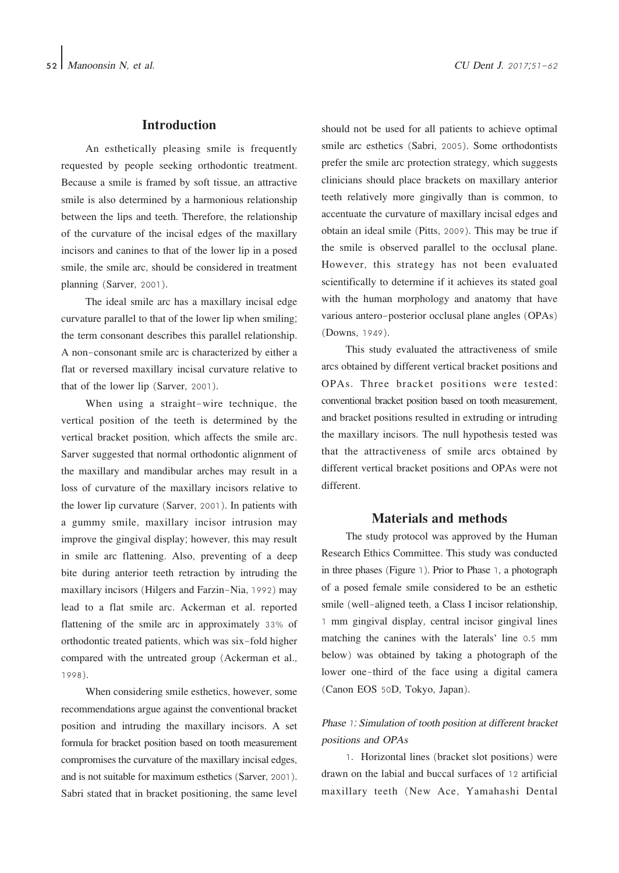## **Introduction**

An esthetically pleasing smile is frequently requested by people seeking orthodontic treatment. Because a smile is framed by soft tissue, an attractive smile is also determined by a harmonious relationship between the lips and teeth. Therefore, the relationship of the curvature of the incisal edges of the maxillary incisors and canines to that of the lower lip in a posed smile, the smile arc, should be considered in treatment planning (Sarver, 2001).

The ideal smile arc has a maxillary incisal edge curvature parallel to that of the lower lip when smiling; the term consonant describes this parallel relationship. A non-consonant smile arc is characterized by either a flat or reversed maxillary incisal curvature relative to that of the lower lip (Sarver, 2001).

When using a straight-wire technique, the vertical position of the teeth is determined by the vertical bracket position, which affects the smile arc. Sarver suggested that normal orthodontic alignment of the maxillary and mandibular arches may result in a loss of curvature of the maxillary incisors relative to the lower lip curvature (Sarver, 2001). In patients with a gummy smile, maxillary incisor intrusion may improve the gingival display; however, this may result in smile arc flattening. Also, preventing of a deep bite during anterior teeth retraction by intruding the maxillary incisors (Hilgers and Farzin-Nia, 1992) may lead to a flat smile arc. Ackerman et al. reported flattening of the smile arc in approximately 33% of orthodontic treated patients, which was six-fold higher compared with the untreated group (Ackerman et al., 1998).

When considering smile esthetics, however, some recommendations argue against the conventional bracket position and intruding the maxillary incisors. A set formula for bracket position based on tooth measurement compromises the curvature of the maxillary incisal edges, and is not suitable for maximum esthetics (Sarver, 2001). Sabri stated that in bracket positioning, the same level

should not be used for all patients to achieve optimal smile arc esthetics (Sabri, 2005). Some orthodontists prefer the smile arc protection strategy, which suggests clinicians should place brackets on maxillary anterior teeth relatively more gingivally than is common, to accentuate the curvature of maxillary incisal edges and obtain an ideal smile (Pitts, 2009). This may be true if the smile is observed parallel to the occlusal plane. However, this strategy has not been evaluated scientifically to determine if it achieves its stated goal with the human morphology and anatomy that have various antero-posterior occlusal plane angles (OPAs) (Downs, 1949).

This study evaluated the attractiveness of smile arcs obtained by different vertical bracket positions and OPAs. Three bracket positions were tested: conventional bracket position based on tooth measurement, and bracket positions resulted in extruding or intruding the maxillary incisors. The null hypothesis tested was that the attractiveness of smile arcs obtained by different vertical bracket positions and OPAs were not different.

## Materials and methods

The study protocol was approved by the Human Research Ethics Committee. This study was conducted in three phases (Figure 1). Prior to Phase 1, a photograph of a posed female smile considered to be an esthetic smile (well-aligned teeth, a Class I incisor relationship, 1 mm gingival display, central incisor gingival lines matching the canines with the laterals' line 0.5 mm below) was obtained by taking a photograph of the lower one-third of the face using a digital camera (Canon EOS 50D, Tokyo, Japan).

## Phase 1: Simulation of tooth position at different bracket positions and OPAs

1. Horizontal lines (bracket slot positions) were drawn on the labial and buccal surfaces of 12 artificial maxillary teeth (New Ace, Yamahashi Dental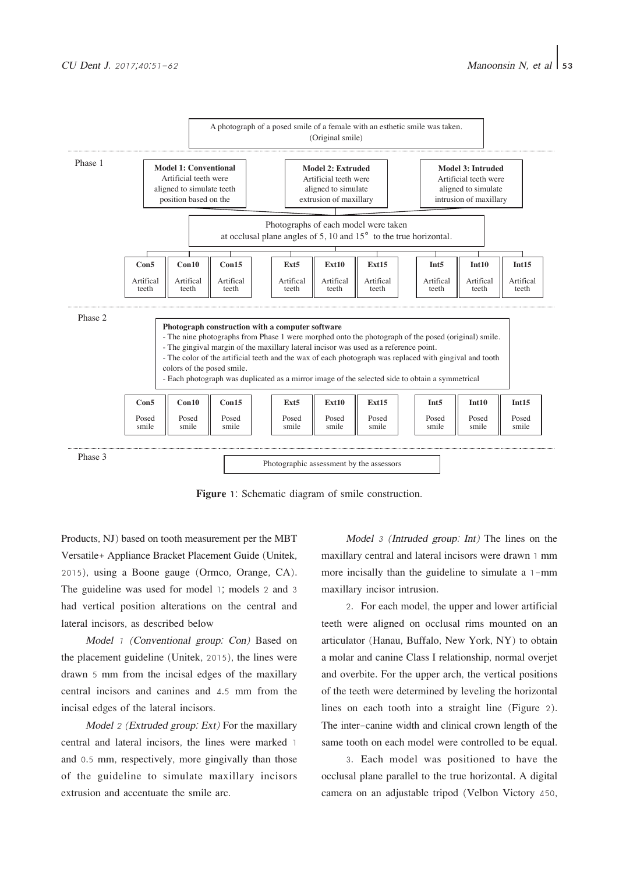

Figure 1: Schematic diagram of smile construction.

Products, NJ) based on tooth measurement per the MBT Versatile+ Appliance Bracket Placement Guide (Unitek, 2015), using a Boone gauge (Ormco, Orange, CA). The guideline was used for model 1; models 2 and 3 had vertical position alterations on the central and lateral incisors, as described below

Model 1 (Conventional group: Con) Based on the placement guideline (Unitek, 2015), the lines were drawn 5 mm from the incisal edges of the maxillary central incisors and canines and 4.5 mm from the incisal edges of the lateral incisors.

Model 2 (Extruded group: Ext) For the maxillary central and lateral incisors, the lines were marked 1 and 0.5 mm, respectively, more gingivally than those of the guideline to simulate maxillary incisors extrusion and accentuate the smile arc.

Model 3 (Intruded group: Int) The lines on the maxillary central and lateral incisors were drawn 1 mm more incisally than the guideline to simulate a 1-mm maxillary incisor intrusion.

2. For each model, the upper and lower artificial teeth were aligned on occlusal rims mounted on an articulator (Hanau, Buffalo, New York, NY) to obtain a molar and canine Class I relationship, normal overjet and overbite. For the upper arch, the vertical positions of the teeth were determined by leveling the horizontal lines on each tooth into a straight line (Figure 2). The inter-canine width and clinical crown length of the same tooth on each model were controlled to be equal.

3. Each model was positioned to have the occlusal plane parallel to the true horizontal. A digital camera on an adjustable tripod (Velbon Victory 450,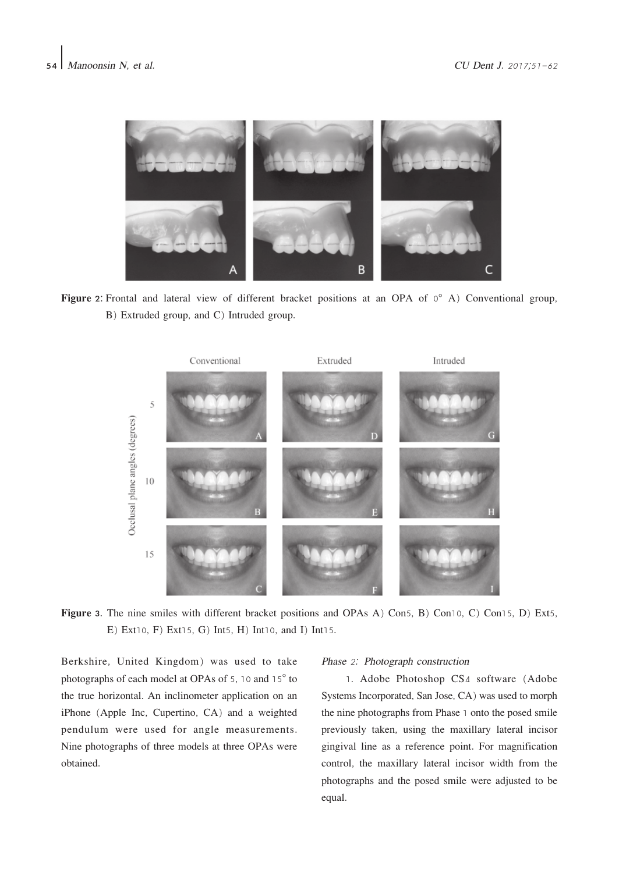

Figure 2: Frontal and lateral view of different bracket positions at an OPA of  $0^{\circ}$  A) Conventional group, B) Extruded group, and C) Intruded group.



Figure 3. The nine smiles with different bracket positions and OPAs A) Con5, B) Con10, C) Con15, D) Ext5, E) Ext10, F) Ext15, G) Int5, H) Int10, and I) Int15.

Berkshire, United Kingdom) was used to take photographs of each model at OPAs of 5, 10 and 15° to the true horizontal. An inclinometer application on an iPhone (Apple Inc, Cupertino, CA) and a weighted pendulum were used for angle measurements. Nine photographs of three models at three OPAs were obtained.

#### Phase 2: Photograph construction

1. Adobe Photoshop CS4 software (Adobe Systems Incorporated, San Jose, CA) was used to morph the nine photographs from Phase 1 onto the posed smile previously taken, using the maxillary lateral incisor gingival line as a reference point. For magnification control, the maxillary lateral incisor width from the photographs and the posed smile were adjusted to be equal.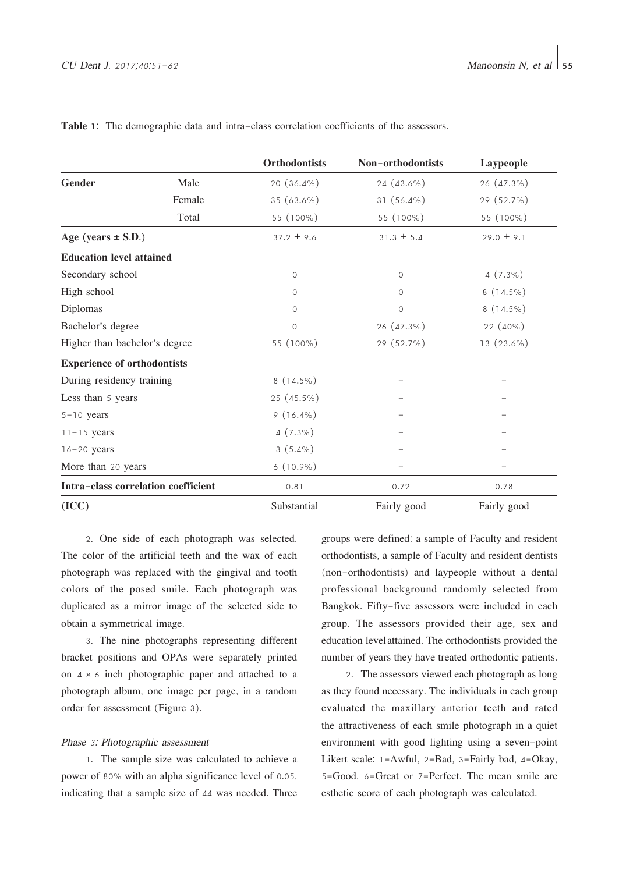|                                     | <b>Orthodontists</b> | Non-orthodontists | Laypeople      |
|-------------------------------------|----------------------|-------------------|----------------|
| <b>Gender</b><br>Male               | $20(36.4\%)$         | 24 (43.6%)        | 26 (47.3%)     |
| Female                              | 35 (63.6%)           | $31(56.4\%)$      | 29 (52.7%)     |
| Total                               | 55 (100%)            | 55 (100%)         | 55 (100%)      |
| Age (years $\pm$ S.D.)              | $37.2 \pm 9.6$       | $31.3 \pm 5.4$    | $29.0 \pm 9.1$ |
| <b>Education level attained</b>     |                      |                   |                |
| Secondary school                    | $\circ$              | 0                 | $4(7.3\%)$     |
| High school                         | $\Omega$             | 0                 | $8(14.5\%)$    |
| Diplomas                            | $\Omega$             | $\circ$           | $8(14.5\%)$    |
| Bachelor's degree                   | $\circ$              | 26 (47.3%)        | 22 (40%)       |
| Higher than bachelor's degree       | 55 (100%)            | 29 (52.7%)        | 13 (23.6%)     |
| <b>Experience of orthodontists</b>  |                      |                   |                |
| During residency training           | $8(14.5\%)$          |                   |                |
| Less than 5 years                   | 25 (45.5%)           |                   |                |
| $5 - 10$ years                      | $9(16.4\%)$          |                   |                |
| $11 - 15$ years                     | $4(7.3\%)$           |                   |                |
| $16 - 20$ years                     | $3(5.4\%)$           |                   |                |
| More than 20 years                  | $6(10.9\%)$          |                   |                |
| Intra-class correlation coefficient | 0.81                 | 0.72              | 0.78           |
| (ICC)                               | Substantial          | Fairly good       | Fairly good    |

Table 1: The demographic data and intra-class correlation coefficients of the assessors.

2. One side of each photograph was selected. The color of the artificial teeth and the wax of each photograph was replaced with the gingival and tooth colors of the posed smile. Each photograph was duplicated as a mirror image of the selected side to obtain a symmetrical image.

3. The nine photographs representing different bracket positions and OPAs were separately printed on  $4 \times 6$  inch photographic paper and attached to a photograph album, one image per page, in a random order for assessment (Figure 3).

#### Phase 3: Photographic assessment

1. The sample size was calculated to achieve a power of 80% with an alpha significance level of 0.05, indicating that a sample size of 44 was needed. Three

groups were defined: a sample of Faculty and resident orthodontists, a sample of Faculty and resident dentists (non-orthodontists) and laypeople without a dental professional background randomly selected from Bangkok. Fifty-five assessors were included in each group. The assessors provided their age, sex and education level†attained. The orthodontists provided the number of years they have treated orthodontic patients.

2. The assessors viewed each photograph as long as they found necessary. The individuals in each group evaluated the maxillary anterior teeth and rated the attractiveness of each smile photograph in a quiet environment with good lighting using a seven-point Likert scale:  $1 = Awful$ ,  $2 = Bad$ ,  $3 = Fairly bad$ ,  $4 = Okay$ , 5=Good, 6=Great or 7=Perfect. The mean smile arc esthetic score of each photograph was calculated.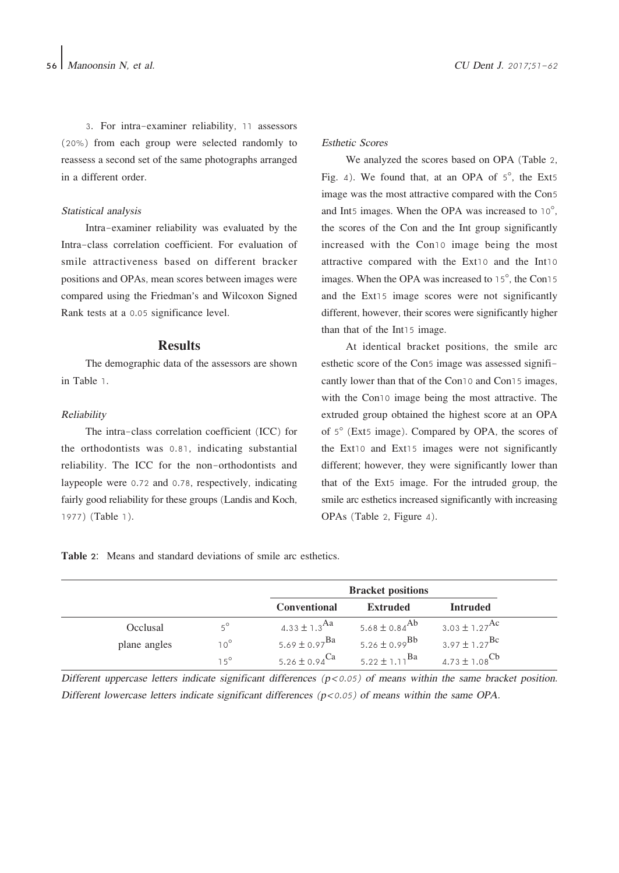3. For intra-examiner reliability, 11 assessors (20%) from each group were selected randomly to reassess a second set of the same photographs arranged in a different order.

#### Statistical analysis

Intra-examiner reliability was evaluated by the Intra-class correlation coefficient. For evaluation of smile attractiveness based on different bracker positions and OPAs, mean scores between images were compared using the Friedman's and Wilcoxon Signed Rank tests at a 0.05 significance level.

#### **Results**

The demographic data of the assessors are shown in Table 1.

#### Reliability

The intra-class correlation coefficient (ICC) for the orthodontists was 0.81, indicating substantial reliability. The ICC for the non-orthodontists and laypeople were 0.72 and 0.78, respectively, indicating fairly good reliability for these groups (Landis and Koch, 1977) (Table 1).

#### Esthetic Scores

We analyzed the scores based on OPA (Table 2, Fig. 4). We found that, at an OPA of  $5^\circ$ , the Ext5 image was the most attractive compared with the Con5 and Int5 images. When the OPA was increased to 10°, the scores of the Con and the Int group significantly increased with the Con10 image being the most attractive compared with the Ext10 and the Int10 images. When the OPA was increased to 15°, the Con15 and the Ext15 image scores were not significantly different, however, their scores were significantly higher than that of the Int15 image.

At identical bracket positions, the smile arc esthetic score of the Con5 image was assessed significantly lower than that of the Con10 and Con15 images, with the Con10 image being the most attractive. The extruded group obtained the highest score at an OPA of 5° (Ext5 image). Compared by OPA, the scores of the Ext10 and Ext15 images were not significantly different; however, they were significantly lower than that of the Ext5 image. For the intruded group, the smile arc esthetics increased significantly with increasing OPAs (Table 2, Figure 4).

Table 2: Means and standard deviations of smile arc esthetics.

|              |              | <b>Bracket positions</b>      |                               |                               |
|--------------|--------------|-------------------------------|-------------------------------|-------------------------------|
|              |              | <b>Conventional</b>           | <b>Extruded</b>               | Intruded                      |
| Occlusal     | $5^\circ$    | 4.33 $\pm$ 1.3 <sup>Aa</sup>  | 5.68 $\pm$ 0.84 <sup>Ab</sup> | 3.03 $\pm$ 1.27 <sup>Ac</sup> |
| plane angles | $10^{\circ}$ | 5.69 ± 0.97 <sup>Ba</sup>     | 5.26 $\pm$ 0.99 <sup>Bb</sup> | 3.97 $\pm$ 1.27 <sup>Bc</sup> |
|              | $15^{\circ}$ | 5.26 $\pm$ 0.94 <sup>Ca</sup> | 5.22 ± 1.11 <sup>Ba</sup>     | 4.73 $\pm$ 1.08 <sup>Cb</sup> |

Different uppercase letters indicate significant differences  $(p < 0.05)$  of means within the same bracket position. Different lowercase letters indicate significant differences  $(p<0.05)$  of means within the same OPA.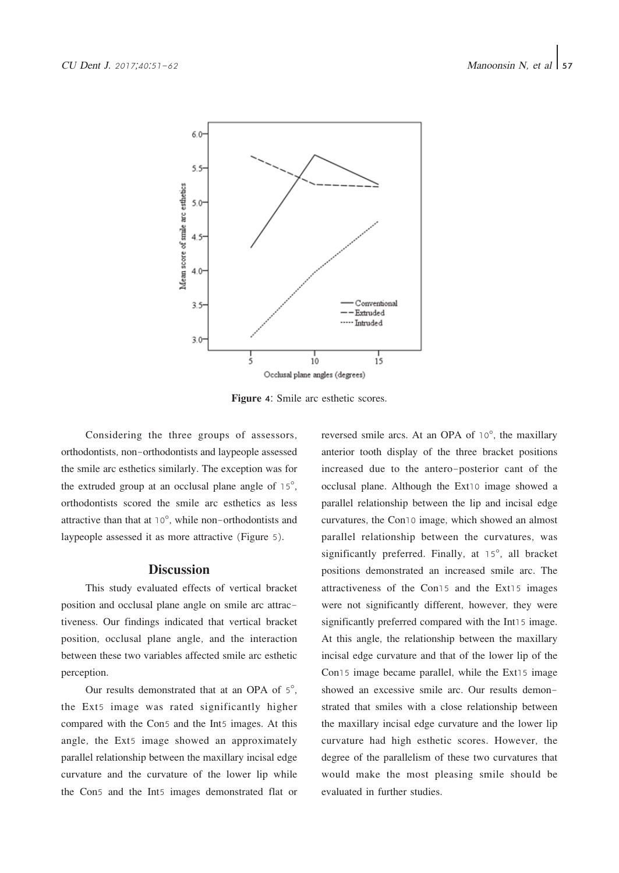

Figure 4: Smile arc esthetic scores.

Considering the three groups of assessors, orthodontists, non-orthodontists and laypeople assessed the smile arc esthetics similarly. The exception was for the extruded group at an occlusal plane angle of 15°, orthodontists scored the smile arc esthetics as less attractive than that at 10°, while non-orthodontists and laypeople assessed it as more attractive (Figure 5).

## **Discussion**

This study evaluated effects of vertical bracket position and occlusal plane angle on smile arc attractiveness. Our findings indicated that vertical bracket position, occlusal plane angle, and the interaction between these two variables affected smile arc esthetic perception.

Our results demonstrated that at an OPA of 5°, the Ext5 image was rated significantly higher compared with the Con5 and the Int5 images. At this angle, the Ext5 image showed an approximately parallel relationship between the maxillary incisal edge curvature and the curvature of the lower lip while the Con5 and the Int5 images demonstrated flat or

reversed smile arcs. At an OPA of 10°, the maxillary anterior tooth display of the three bracket positions increased due to the antero-posterior cant of the occlusal plane. Although the Ext10 image showed a parallel relationship between the lip and incisal edge curvatures, the Con10 image, which showed an almost parallel relationship between the curvatures, was significantly preferred. Finally, at 15°, all bracket positions demonstrated an increased smile arc. The attractiveness of the Con15 and the Ext15 images were not significantly different, however, they were significantly preferred compared with the Int15 image. At this angle, the relationship between the maxillary incisal edge curvature and that of the lower lip of the Con15 image became parallel, while the Ext15 image showed an excessive smile arc. Our results demonstrated that smiles with a close relationship between the maxillary incisal edge curvature and the lower lip curvature had high esthetic scores. However, the degree of the parallelism of these two curvatures that would make the most pleasing smile should be evaluated in further studies.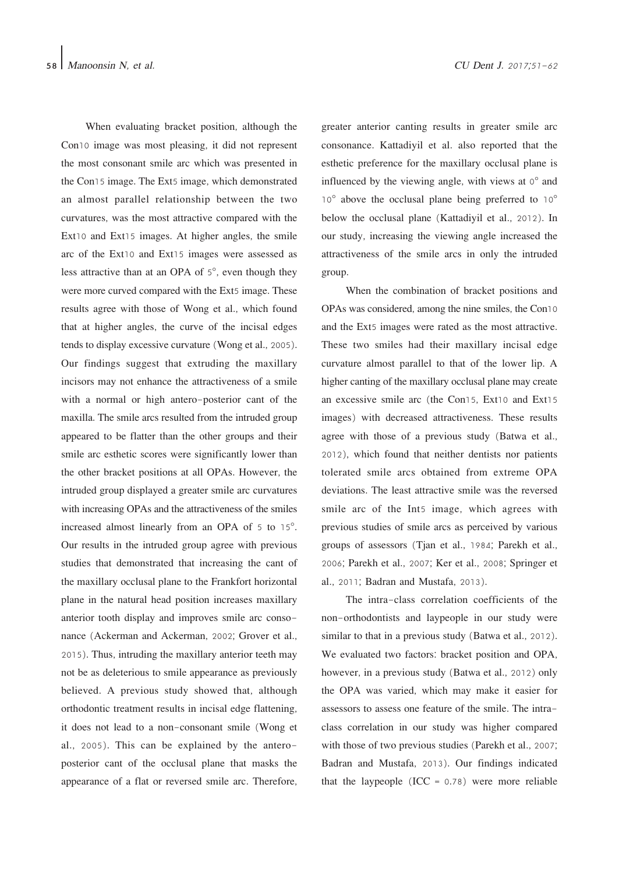When evaluating bracket position, although the Con10 image was most pleasing, it did not represent the most consonant smile arc which was presented in the Con15 image. The Ext5 image, which demonstrated an almost parallel relationship between the two curvatures, was the most attractive compared with the Ext10 and Ext15 images. At higher angles, the smile arc of the Ext10 and Ext15 images were assessed as less attractive than at an OPA of 5°, even though they were more curved compared with the Ext5 image. These results agree with those of Wong et al., which found that at higher angles, the curve of the incisal edges tends to display excessive curvature (Wong et al., 2005). Our findings suggest that extruding the maxillary incisors may not enhance the attractiveness of a smile with a normal or high antero-posterior cant of the maxilla. The smile arcs resulted from the intruded group appeared to be flatter than the other groups and their smile arc esthetic scores were significantly lower than the other bracket positions at all OPAs. However, the intruded group displayed a greater smile arc curvatures with increasing OPAs and the attractiveness of the smiles increased almost linearly from an OPA of 5 to 15°. Our results in the intruded group agree with previous studies that demonstrated that increasing the cant of the maxillary occlusal plane to the Frankfort horizontal plane in the natural head position increases maxillary anterior tooth display and improves smile arc consonance (Ackerman and Ackerman, 2002; Grover et al., 2015). Thus, intruding the maxillary anterior teeth may not be as deleterious to smile appearance as previously believed. A previous study showed that, although orthodontic treatment results in incisal edge flattening, it does not lead to a non-consonant smile (Wong et al., 2005). This can be explained by the anteroposterior cant of the occlusal plane that masks the appearance of a flat or reversed smile arc. Therefore,

greater anterior canting results in greater smile arc consonance. Kattadiyil et al. also reported that the esthetic preference for the maxillary occlusal plane is influenced by the viewing angle, with views at  $0^{\circ}$  and 10° above the occlusal plane being preferred to 10° below the occlusal plane (Kattadiyil et al., 2012). In our study, increasing the viewing angle increased the attractiveness of the smile arcs in only the intruded group.

When the combination of bracket positions and OPAs was considered, among the nine smiles, the Con10 and the Ext5 images were rated as the most attractive. These two smiles had their maxillary incisal edge curvature almost parallel to that of the lower lip. A higher canting of the maxillary occlusal plane may create an excessive smile arc (the Con15, Ext10 and Ext15 images) with decreased attractiveness. These results agree with those of a previous study (Batwa et al., 2012), which found that neither dentists nor patients tolerated smile arcs obtained from extreme OPA deviations. The least attractive smile was the reversed smile arc of the Int5 image, which agrees with previous studies of smile arcs as perceived by various groups of assessors (Tjan et al., 1984; Parekh et al., 2006; Parekh et al., 2007; Ker et al., 2008; Springer et al., 2011; Badran and Mustafa, 2013).

The intra-class correlation coefficients of the non-orthodontists and laypeople in our study were similar to that in a previous study (Batwa et al., 2012). We evaluated two factors: bracket position and OPA, however, in a previous study (Batwa et al., 2012) only the OPA was varied, which may make it easier for assessors to assess one feature of the smile. The intraclass correlation in our study was higher compared with those of two previous studies (Parekh et al., 2007; Badran and Mustafa, 2013). Our findings indicated that the laypeople  $(ICC = 0.78)$  were more reliable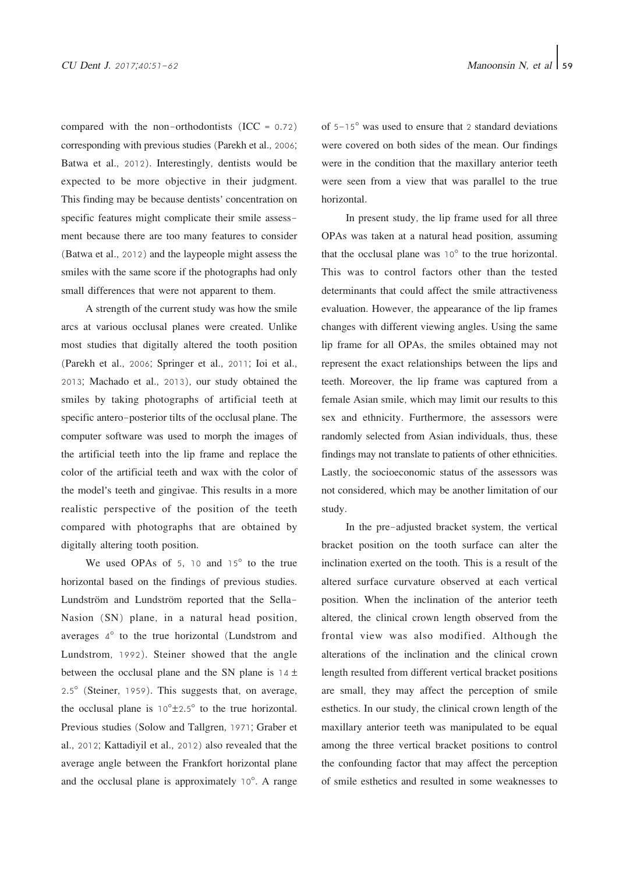compared with the non-orthodontists  $(ICC = 0.72)$ corresponding with previous studies (Parekh et al., 2006; Batwa et al., 2012). Interestingly, dentists would be expected to be more objective in their judgment. This finding may be because dentists' concentration on specific features might complicate their smile assessment because there are too many features to consider (Batwa et al., 2012) and the laypeople might assess the smiles with the same score if the photographs had only small differences that were not apparent to them.

A strength of the current study was how the smile arcs at various occlusal planes were created. Unlike most studies that digitally altered the tooth position (Parekh et al., 2006; Springer et al., 2011; Ioi et al., 2013; Machado et al., 2013), our study obtained the smiles by taking photographs of artificial teeth at specific antero-posterior tilts of the occlusal plane. The computer software was used to morph the images of the artificial teeth into the lip frame and replace the color of the artificial teeth and wax with the color of the model's teeth and gingivae. This results in a more realistic perspective of the position of the teeth compared with photographs that are obtained by digitally altering tooth position.

We used OPAs of 5, 10 and 15<sup>°</sup> to the true horizontal based on the findings of previous studies. Lundström and Lundström reported that the Sella-Nasion (SN) plane, in a natural head position, averages 4° to the true horizontal (Lundstrom and Lundstrom, 1992). Steiner showed that the angle between the occlusal plane and the SN plane is  $14 \pm$ 2.5° (Steiner, 1959). This suggests that, on average, the occlusal plane is  $10^{\circ}$ ±2.5° to the true horizontal. Previous studies (Solow and Tallgren, 1971; Graber et al., 2012; Kattadiyil et al., 2012) also revealed that the average angle between the Frankfort horizontal plane and the occlusal plane is approximately 10°. A range

of 5-15° was used to ensure that 2 standard deviations were covered on both sides of the mean. Our findings were in the condition that the maxillary anterior teeth were seen from a view that was parallel to the true horizontal.

In present study, the lip frame used for all three OPAs was taken at a natural head position, assuming that the occlusal plane was 10° to the true horizontal. This was to control factors other than the tested determinants that could affect the smile attractiveness evaluation. However, the appearance of the lip frames changes with different viewing angles. Using the same lip frame for all OPAs, the smiles obtained may not represent the exact relationships between the lips and teeth. Moreover, the lip frame was captured from a female Asian smile, which may limit our results to this sex and ethnicity. Furthermore, the assessors were randomly selected from Asian individuals, thus, these findings may not translate to patients of other ethnicities. Lastly, the socioeconomic status of the assessors was not considered, which may be another limitation of our study.

In the pre-adjusted bracket system, the vertical bracket position on the tooth surface can alter the inclination exerted on the tooth. This is a result of the altered surface curvature observed at each vertical position. When the inclination of the anterior teeth altered, the clinical crown length observed from the frontal view was also modified. Although the alterations of the inclination and the clinical crown length resulted from different vertical bracket positions are small, they may affect the perception of smile esthetics. In our study, the clinical crown length of the maxillary anterior teeth was manipulated to be equal among the three vertical bracket positions to control the confounding factor that may affect the perception of smile esthetics and resulted in some weaknesses to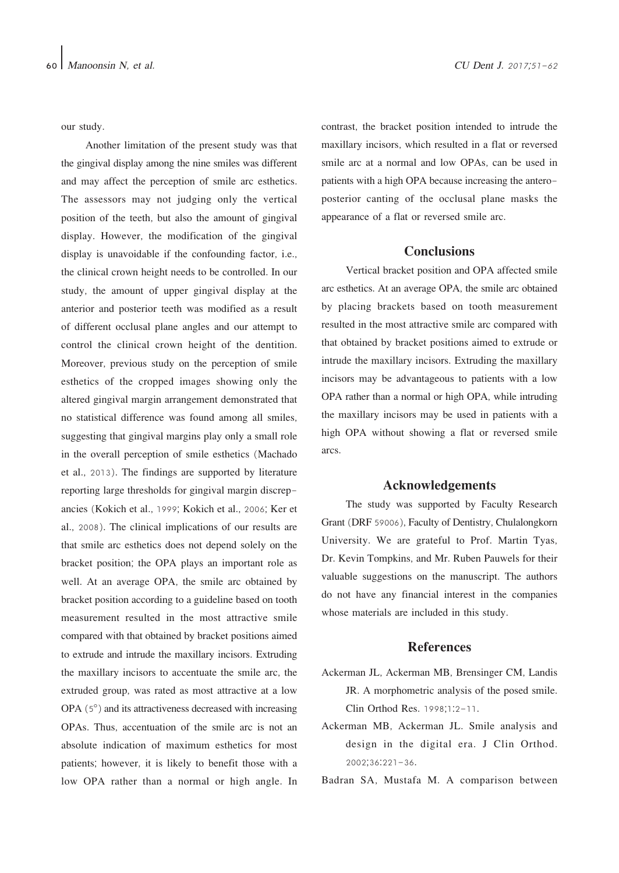our study.

Another limitation of the present study was that the gingival display among the nine smiles was different and may affect the perception of smile arc esthetics. The assessors may not judging only the vertical position of the teeth, but also the amount of gingival display. However, the modification of the gingival display is unavoidable if the confounding factor, i.e., the clinical crown height needs to be controlled. In our study, the amount of upper gingival display at the anterior and posterior teeth was modified as a result of different occlusal plane angles and our attempt to control the clinical crown height of the dentition. Moreover, previous study on the perception of smile esthetics of the cropped images showing only the altered gingival margin arrangement demonstrated that no statistical difference was found among all smiles, suggesting that gingival margins play only a small role in the overall perception of smile esthetics (Machado et al., 2013). The findings are supported by literature reporting large thresholds for gingival margin discrepancies (Kokich et al., 1999; Kokich et al., 2006; Ker et al., 2008). The clinical implications of our results are that smile arc esthetics does not depend solely on the bracket position; the OPA plays an important role as well. At an average OPA, the smile arc obtained by bracket position according to a guideline based on tooth measurement resulted in the most attractive smile compared with that obtained by bracket positions aimed to extrude and intrude the maxillary incisors. Extruding the maxillary incisors to accentuate the smile arc, the extruded group, was rated as most attractive at a low OPA (5°) and its attractiveness decreased with increasing OPAs. Thus, accentuation of the smile arc is not an absolute indication of maximum esthetics for most patients; however, it is likely to benefit those with a low OPA rather than a normal or high angle. In contrast, the bracket position intended to intrude the maxillary incisors, which resulted in a flat or reversed smile arc at a normal and low OPAs, can be used in patients with a high OPA because increasing the anteroposterior canting of the occlusal plane masks the appearance of a flat or reversed smile arc.

## **Conclusions**

Vertical bracket position and OPA affected smile arc esthetics. At an average OPA, the smile arc obtained by placing brackets based on tooth measurement resulted in the most attractive smile arc compared with that obtained by bracket positions aimed to extrude or intrude the maxillary incisors. Extruding the maxillary incisors may be advantageous to patients with a low OPA rather than a normal or high OPA, while intruding the maxillary incisors may be used in patients with a high OPA without showing a flat or reversed smile arcs.

## Acknowledgements

The study was supported by Faculty Research Grant (DRF 59006), Faculty of Dentistry, Chulalongkorn University. We are grateful to Prof. Martin Tyas, Dr. Kevin Tompkins, and Mr. Ruben Pauwels for their valuable suggestions on the manuscript. The authors do not have any financial interest in the companies whose materials are included in this study.

## References

- Ackerman JL, Ackerman MB, Brensinger CM, Landis JR. A morphometric analysis of the posed smile. Clin Orthod Res. 1998;1:2-11.
- Ackerman MB, Ackerman JL. Smile analysis and design in the digital era. J Clin Orthod. 2002;36:221-36.
- Badran SA, Mustafa M. A comparison between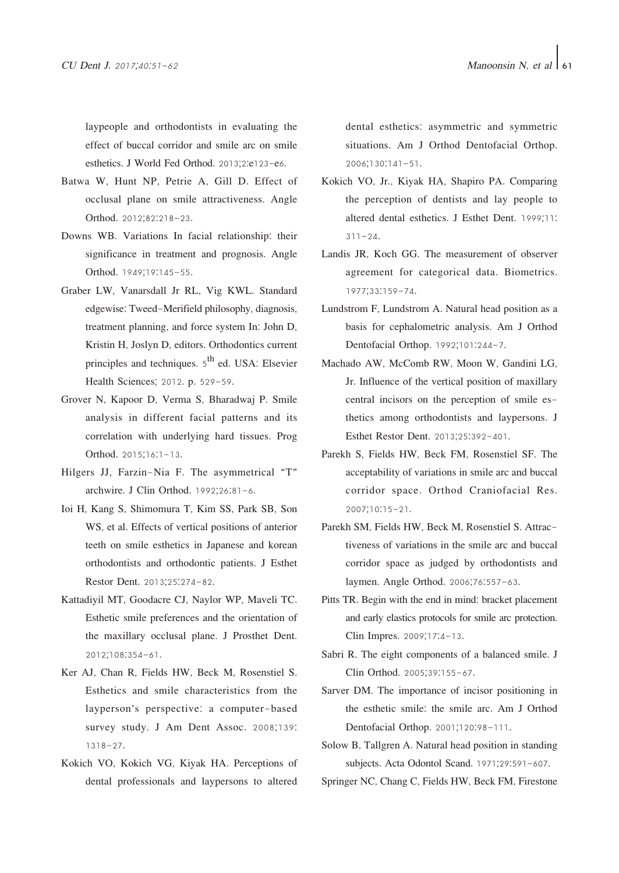laypeople and orthodontists in evaluating the effect of buccal corridor and smile arc on smile esthetics. J World Fed Orthod. 2013;2:e123-e6.

- Batwa W, Hunt NP, Petrie A, Gill D. Effect of occlusal plane on smile attractiveness. Angle Orthod. 2012;82:218-23.
- Downs WB. Variations In facial relationship: their significance in treatment and prognosis. Angle Orthod. 1949;19:145-55.
- Graber LW, Vanarsdall Jr RL, Vig KWL. Standard edgewise: Tweed-Merifield philosophy, diagnosis, treatment planning, and force system In: John D, Kristin H, Joslyn D, editors. Orthodontics current principles and techniques.  $5<sup>th</sup>$  ed. USA: Elsevier Health Sciences; 2012. p. 529-59.
- Grover N, Kapoor D, Verma S, Bharadwaj P. Smile analysis in different facial patterns and its correlation with underlying hard tissues. Prog Orthod. 2015;16:1-13.
- Hilgers JJ, Farzin-Nia F. The asymmetrical "T" archwire. J Clin Orthod. 1992;26:81-6.
- Ioi H, Kang S, Shimomura T, Kim SS, Park SB, Son WS, et al. Effects of vertical positions of anterior teeth on smile esthetics in Japanese and korean orthodontists and orthodontic patients. J Esthet Restor Dent. 2013;25:274-82.
- Kattadiyil MT, Goodacre CJ, Naylor WP, Maveli TC. Esthetic smile preferences and the orientation of the maxillary occlusal plane. J Prosthet Dent. 2012;108:354-61.
- Ker AJ, Chan R, Fields HW, Beck M, Rosenstiel S. Esthetics and smile characteristics from the layperson's perspective: a computer-based survey study. J Am Dent Assoc. 2008;139: 1318-27.
- Kokich VO, Kokich VG, Kiyak HA. Perceptions of dental professionals and laypersons to altered

dental esthetics: asymmetric and symmetric situations. Am J Orthod Dentofacial Orthop. 2006;130:141-51.

- Kokich VO, Jr., Kiyak HA, Shapiro PA. Comparing the perception of dentists and lay people to altered dental esthetics. J Esthet Dent. 1999;11:  $311 - 24.$
- Landis JR, Koch GG. The measurement of observer agreement for categorical data. Biometrics. 1977;33:159-74.
- Lundstrom F, Lundstrom A. Natural head position as a basis for cephalometric analysis. Am J Orthod Dentofacial Orthop. 1992;101:244-7.
- Machado AW, McComb RW, Moon W, Gandini LG, Jr. Influence of the vertical position of maxillary central incisors on the perception of smile esthetics among orthodontists and laypersons. J Esthet Restor Dent. 2013;25:392-401.
- Parekh S, Fields HW, Beck FM, Rosenstiel SF. The acceptability of variations in smile arc and buccal corridor space. Orthod Craniofacial Res. 2007;10:15-21.
- Parekh SM, Fields HW, Beck M, Rosenstiel S. Attractiveness of variations in the smile arc and buccal corridor space as judged by orthodontists and laymen. Angle Orthod. 2006;76:557-63.
- Pitts TR. Begin with the end in mind: bracket placement and early elastics protocols for smile arc protection. Clin Impres. 2009;17:4-13.
- Sabri R. The eight components of a balanced smile. J Clin Orthod. 2005;39:155-67.
- Sarver DM. The importance of incisor positioning in the esthetic smile: the smile arc. Am J Orthod Dentofacial Orthop. 2001;120:98-111.
- Solow B, Tallgren A. Natural head position in standing subjects. Acta Odontol Scand. 1971;29:591-607.

Springer NC, Chang C, Fields HW, Beck FM, Firestone